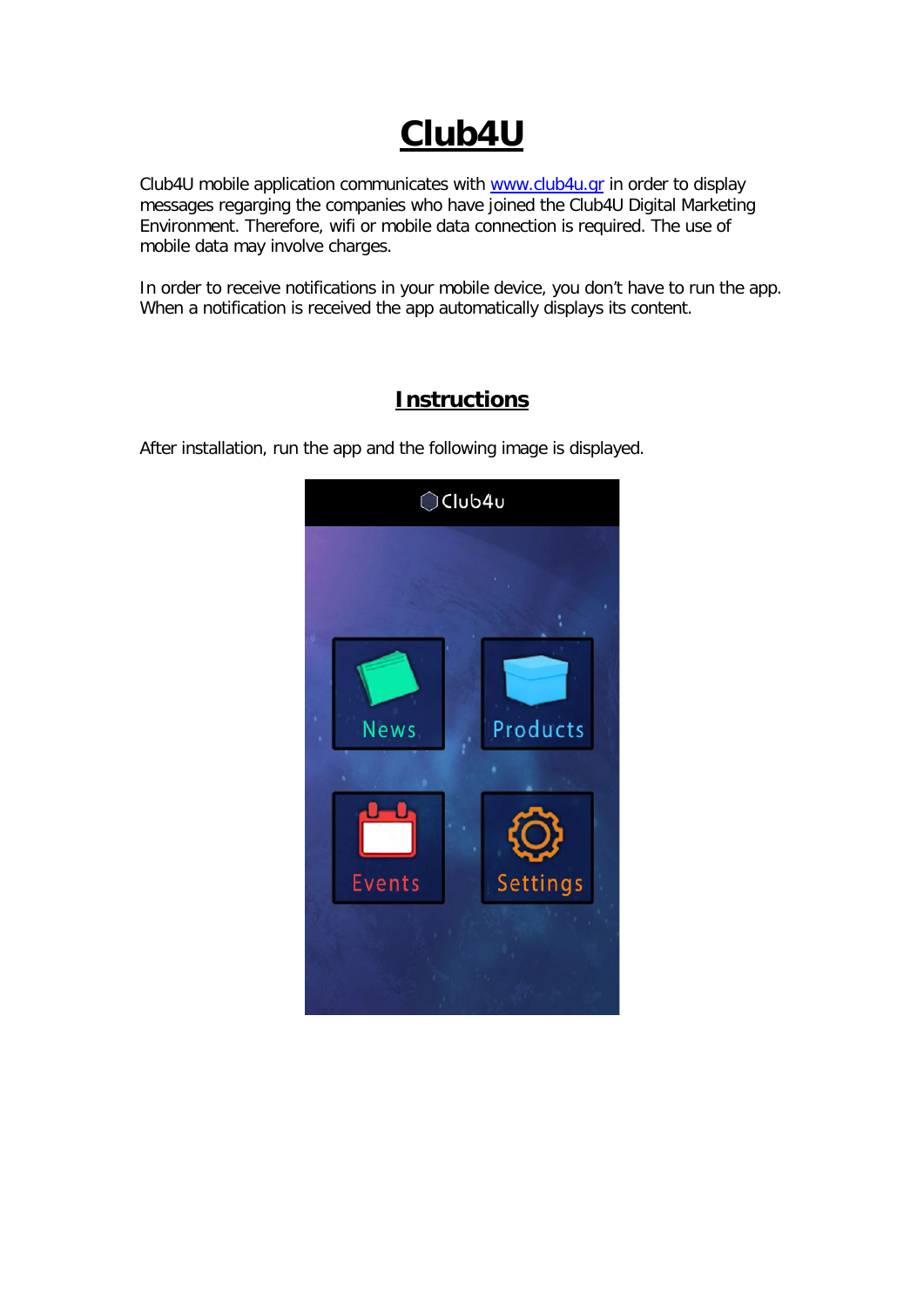# **Club4U**

Club4U mobile application communicates with [www.club4u.gr](http://www.club4u.gr/) in order to display messages regarging the companies who have joined the Club4U Digital Marketing Environment. Therefore, wifi or mobile data connection is required. The use of mobile data may involve charges.

In order to receive notifications in your mobile device, you don't have to run the app. When a notification is received the app automatically displays its content.



# **Instructions**

After installation, run the app and the following image is displayed.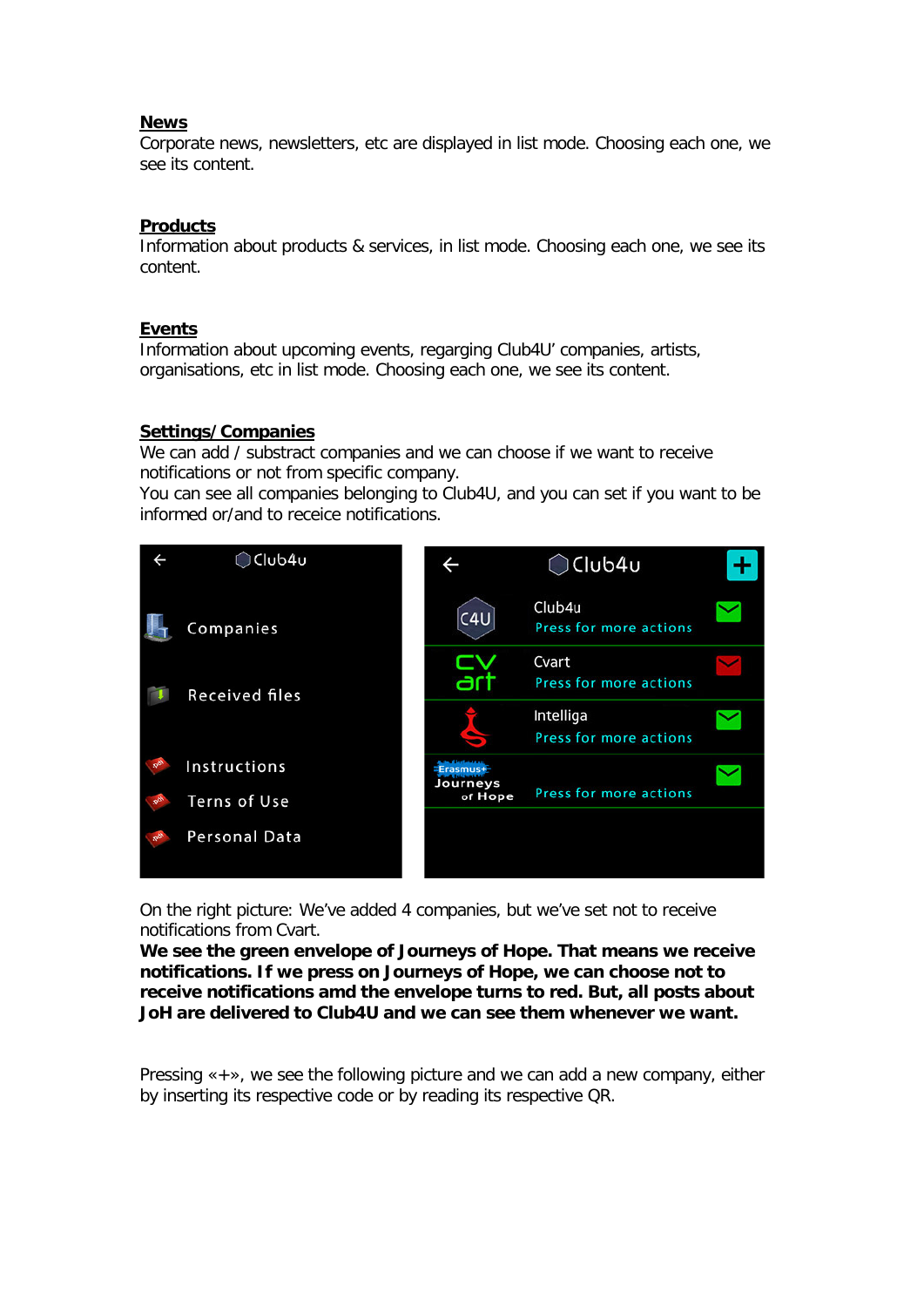## **News**

Corporate news, newsletters, etc are displayed in list mode. Choosing each one, we see its content.

## **Products**

Information about products & services, in list mode. Choosing each one, we see its content.

#### **Events**

Information about upcoming events, regarging Club4U' companies, artists, organisations, etc in list mode. Choosing each one, we see its content.

#### **Settings/Companies**

We can add / substract companies and we can choose if we want to receive notifications or not from specific company.

You can see all companies belonging to Club4U, and you can set if you want to be informed or/and to receice notifications.



On the right picture: We've added 4 companies, but we've set not to receive notifications from Cvart.

**We see the green envelope of Journeys of Hope. That means we receive notifications. If we press on Journeys of Hope, we can choose not to receive notifications amd the envelope turns to red. But, all posts about JoH are delivered to Club4U and we can see them whenever we want.**

Pressing «+», we see the following picture and we can add a new company, either by inserting its respective code or by reading its respective QR.